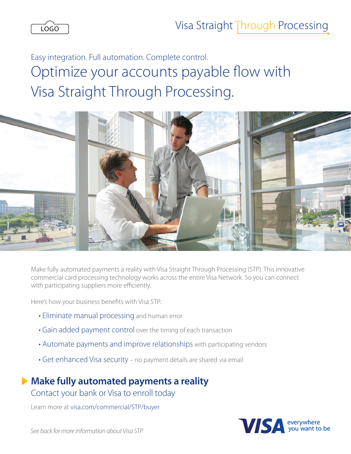

Easy integration. Full automation. Complete control. Optimize your accounts payable flow with Visa Straight Through Processing.



Make fully automated payments a reality with Visa Straight Through Processing (STP). This innovative commercial card processing technology works across the entire Visa Network. So you can connect with participating suppliers more efficiently.

Here's how your business benefits with Visa STP:

- Eliminate manual processing and human error
- Gain added payment control over the timing of each transaction
- Automate payments and improve relationships with participating vendors
- Get enhanced Visa security no payment details are shared via email

## **Make fully automated payments a reality**

Contact your bank or Visa to enroll today

Learn more at visa.com/commercial/STP/buyer



*See back for more information about Visa STP*